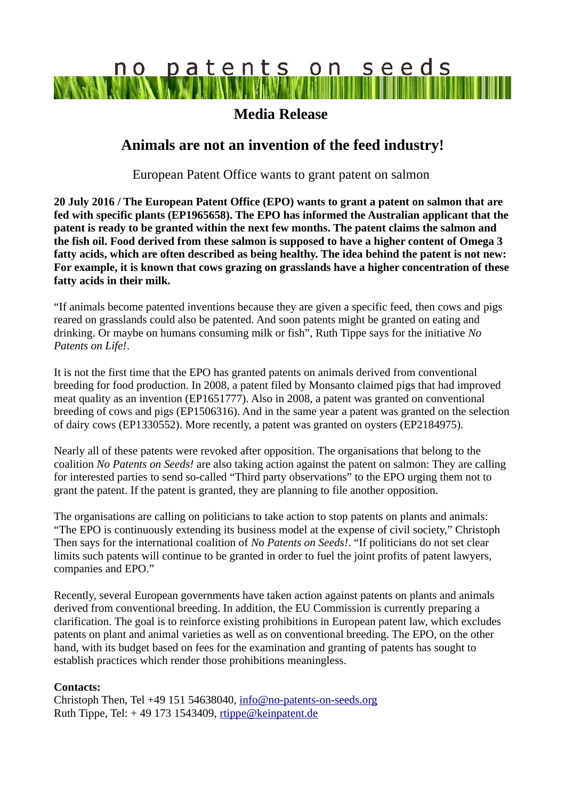# no patents on seeds

### **Media Release**

## **Animals are not an invention of the feed industry!**

European Patent Office wants to grant patent on salmon

**20 July 2016 / The European Patent Office (EPO) wants to grant a patent on salmon that are fed with specific plants (EP1965658). The EPO has informed the Australian applicant that the patent is ready to be granted within the next few months. The patent claims the salmon and the fish oil. Food derived from these salmon is supposed to have a higher content of Omega 3 fatty acids, which are often described as being healthy. The idea behind the patent is not new: For example, it is known that cows grazing on grasslands have a higher concentration of these fatty acids in their milk.** 

"If animals become patented inventions because they are given a specific feed, then cows and pigs reared on grasslands could also be patented. And soon patents might be granted on eating and drinking. Or maybe on humans consuming milk or fish", Ruth Tippe says for the initiative *No Patents on Life!*.

It is not the first time that the EPO has granted patents on animals derived from conventional breeding for food production. In 2008, a patent filed by Monsanto claimed pigs that had improved meat quality as an invention (EP1651777). Also in 2008, a patent was granted on conventional breeding of cows and pigs (EP1506316). And in the same year a patent was granted on the selection of dairy cows (EP1330552). More recently, a patent was granted on oysters (EP2184975).

Nearly all of these patents were revoked after opposition. The organisations that belong to the coalition *No Patents on Seeds!* are also taking action against the patent on salmon: They are calling for interested parties to send so-called "Third party observations" to the EPO urging them not to grant the patent. If the patent is granted, they are planning to file another opposition.

The organisations are calling on politicians to take action to stop patents on plants and animals: "The EPO is continuously extending its business model at the expense of civil society," Christoph Then says for the international coalition of *No Patents on Seeds!*. "If politicians do not set clear limits such patents will continue to be granted in order to fuel the joint profits of patent lawyers, companies and EPO."

Recently, several European governments have taken action against patents on plants and animals derived from conventional breeding. In addition, the EU Commission is currently preparing a clarification. The goal is to reinforce existing prohibitions in European patent law, which excludes patents on plant and animal varieties as well as on conventional breeding. The EPO, on the other hand, with its budget based on fees for the examination and granting of patents has sought to establish practices which render those prohibitions meaningless.

#### **Contacts:**

Christoph Then, Tel +49 151 54638040, [info@no-patents-on-seeds.org](mailto:info@no-patents-on-seeds.org) Ruth Tippe, Tel:  $+49$  173 1543409, [rtippe@keinpatent.de](mailto:rtippe@keinpatent.de)